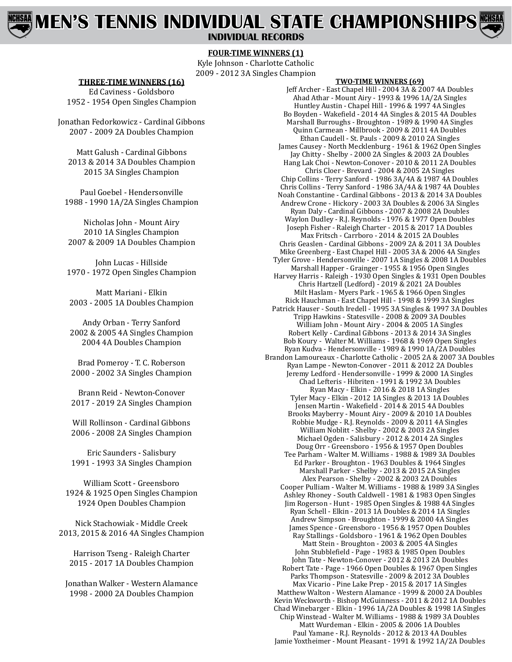# **MEN'S TENNIS INDIVIDUAL STATE CHAMPIONSHIPS**

**INDIVIDUAL RECORDS**

### **FOUR-TIME WINNERS (1)**

Kyle Johnson - Charlotte Catholic 2009 - 2012 3A Singles Champion

#### **THREE-TIME WINNERS (16)**

Ed Caviness - Goldsboro 1952 - 1954 Open Singles Champion

Jonathan Fedorkowicz - Cardinal Gibbons 2007 - 2009 2A Doubles Champion

Matt Galush - Cardinal Gibbons 2013 & 2014 3A Doubles Champion 2015 3A Singles Champion

Paul Goebel - Hendersonville 1988 - 1990 1A/2A Singles Champion

Nicholas John - Mount Airy 2010 1A Singles Champion 2007 & 2009 1A Doubles Champion

John Lucas - Hillside 1970 - 1972 Open Singles Champion

Matt Mariani - Elkin 2003 - 2005 1A Doubles Champion

Andy Orban - Terry Sanford 2002 & 2005 4A Singles Champion 2004 4A Doubles Champion

Brad Pomeroy - T. C. Roberson 2000 - 2002 3A Singles Champion

Brann Reid - Newton-Conover 2017 - 2019 2A Singles Champion

Will Rollinson - Cardinal Gibbons 2006 - 2008 2A Singles Champion

Eric Saunders - Salisbury 1991 - 1993 3A Singles Champion

William Scott - Greensboro 1924 & 1925 Open Singles Champion 1924 Open Doubles Champion

Nick Stachowiak - Middle Creek 2013, 2015 & 2016 4A Singles Champion

Harrison Tseng - Raleigh Charter 2015 - 2017 1A Doubles Champion

Jonathan Walker - Western Alamance 1998 - 2000 2A Doubles Champion

#### **TWO-TIME WINNERS (69)**

Jeff Archer - East Chapel Hill - 2004 3A & 2007 4A Doubles Ahad Athar - Mount Airy - 1993 & 1996 1A/2A Singles Huntley Austin - Chapel Hill - 1996 & 1997 4A Singles Bo Boyden - Wakefield - 2014 4A Singles & 2015 4A Doubles Marshall Burroughs - Broughton - 1989 & 1990 4A Singles Quinn Carmean - Millbrook - 2009 & 2011 4A Doubles Ethan Caudell - St. Pauls - 2009 & 2010 2A Singles James Causey - North Mecklenburg - 1961 & 1962 Open Singles Jay Chitty - Shelby - 2000 2A Singles & 2003 2A Doubles Hang Lak Choi - Newton-Conover - 2010 & 2011 2A Doubles Chris Cloer - Brevard - 2004 & 2005 2A Singles Chip Collins - Terry Sanford - 1986 3A/4A & 1987 4A Doubles Chris Collins - Terry Sanford - 1986 3A/4A & 1987 4A Doubles Noah Constantine - Cardinal Gibbons - 2013 & 2014 3A Doubles Andrew Crone - Hickory - 2003 3A Doubles & 2006 3A Singles Ryan Daly - Cardinal Gibbons - 2007 & 2008 2A Doubles Waylon Dudley - R.J. Reynolds - 1976 & 1977 Open Doubles Joseph Fisher - Raleigh Charter - 2015 & 2017 1A Doubles Max Fritsch - Carrboro - 2014 & 2015 2A Doubles Chris Geaslen - Cardinal Gibbons - 2009 2A & 2011 3A Doubles Mike Greenberg - East Chapel Hill - 2005 3A & 2006 4A Singles Tyler Grove - Hendersonville - 2007 1A Singles & 2008 1A Doubles Marshall Happer - Grainger - 1955 & 1956 Open Singles Harvey Harris - Raleigh - 1930 Open Singles & 1931 Open Doubles Chris Hartzell (Ledford) - 2019 & 2021 2A Doubles Milt Haslam - Myers Park - 1965 & 1966 Open Singles Rick Hauchman - East Chapel Hill - 1998 & 1999 3A Singles Patrick Hauser - South Iredell - 1995 3A Singles & 1997 3A Doubles Tripp Hawkins - Statesville - 2008 & 2009 3A Doubles William John - Mount Airy - 2004 & 2005 1A Singles Robert Kelly - Cardinal Gibbons - 2013 & 2014 3A Singles Bob Koury - Walter M. Williams - 1968 & 1969 Open Singles Ryan Kudva - Hendersonville - 1989 & 1990 1A/2A Doubles Brandon Lamoureaux - Charlotte Catholic - 2005 2A & 2007 3A Doubles Ryan Lampe - Newton-Conover - 2011 & 2012 2A Doubles Jeremy Ledford - Hendersonville - 1999 & 2000 1A Singles Chad Lefteris - Hibriten - 1991 & 1992 3A Doubles Ryan Macy - Elkin - 2016 & 2018 1A Singles Tyler Macy - Elkin - 2012 1A Singles & 2013 1A Doubles Jensen Martin - Wakefield - 2014 & 2015 4A Doubles Brooks Mayberry - Mount Airy - 2009 & 2010 1A Doubles Robbie Mudge - R.J. Reynolds - 2009 & 2011 4A Singles William Noblitt - Shelby - 2002 & 2003 2A Singles Michael Ogden - Salisbury - 2012 & 2014 2A Singles Doug Orr - Greensboro - 1956 & 1957 Open Doubles Tee Parham - Walter M. Williams - 1988 & 1989 3A Doubles Ed Parker - Broughton - 1963 Doubles & 1964 Singles Marshall Parker - Shelby - 2013 & 2015 2A Singles Alex Pearson - Shelby - 2002 & 2003 2A Doubles Cooper Pulliam - Walter M. Williams - 1988 & 1989 3A Singles Ashley Rhoney - South Caldwell - 1981 & 1983 Open Singles Jim Rogerson - Hunt - 1985 Open Singles & 1988 4A Singles Ryan Schell - Elkin - 2013 1A Doubles & 2014 1A Singles Andrew Simpson - Broughton - 1999 & 2000 4A Singles James Spence - Greensboro - 1956 & 1957 Open Doubles Ray Stallings - Goldsboro - 1961 & 1962 Open Doubles Matt Stein - Broughton - 2003 & 2005 4A Singles John Stubblefield - Page - 1983 & 1985 Open Doubles John Tate - Newton-Conover - 2012 & 2013 2A Doubles Robert Tate - Page - 1966 Open Doubles & 1967 Open Singles Parks Thompson - Statesville - 2009 & 2012 3A Doubles Max Vicario - Pine Lake Prep - 2015 & 2017 1A Singles Matthew Walton - Western Alamance - 1999 & 2000 2A Doubles Kevin Weckworth - Bishop McGuinness - 2011 & 2012 1A Doubles Chad Winebarger - Elkin - 1996 1A/2A Doubles & 1998 1A Singles Chip Winstead - Walter M. Williams - 1988 & 1989 3A Doubles Matt Wurdeman - Elkin - 2005 & 2006 1A Doubles Paul Yamane - R.J. Reynolds - 2012 & 2013 4A Doubles Jamie Yoxtheimer - Mount Pleasant - 1991 & 1992 1A/2A Doubles